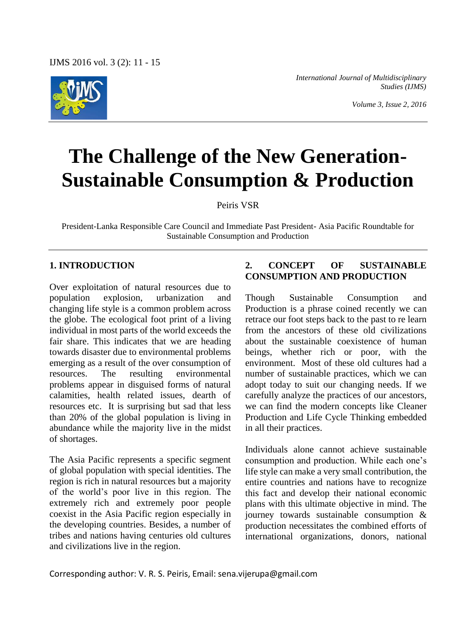

*International Journal of Multidisciplinary Studies (IJMS)*

*Volume 3, Issue 2, 2016*

# **The Challenge of the New Generation-Sustainable Consumption & Production**

Peiris VSR

President-Lanka Responsible Care Council and Immediate Past President- Asia Pacific Roundtable for Sustainable Consumption and Production

# **1. INTRODUCTION**

Over exploitation of natural resources due to population explosion, urbanization and changing life style is a common problem across the globe. The ecological foot print of a living individual in most parts of the world exceeds the fair share. This indicates that we are heading towards disaster due to environmental problems emerging as a result of the over consumption of resources. The resulting environmental problems appear in disguised forms of natural calamities, health related issues, dearth of resources etc. It is surprising but sad that less than 20% of the global population is living in abundance while the majority live in the midst of shortages.

The Asia Pacific represents a specific segment of global population with special identities. The region is rich in natural resources but a majority of the world's poor live in this region. The extremely rich and extremely poor people coexist in the Asia Pacific region especially in the developing countries. Besides, a number of tribes and nations having centuries old cultures and civilizations live in the region.

# **2. CONCEPT OF SUSTAINABLE CONSUMPTION AND PRODUCTION**

Though Sustainable Consumption and Production is a phrase coined recently we can retrace our foot steps back to the past to re learn from the ancestors of these old civilizations about the sustainable coexistence of human beings, whether rich or poor, with the environment. Most of these old cultures had a number of sustainable practices, which we can adopt today to suit our changing needs. If we carefully analyze the practices of our ancestors, we can find the modern concepts like Cleaner Production and Life Cycle Thinking embedded in all their practices.

Individuals alone cannot achieve sustainable consumption and production. While each one's life style can make a very small contribution, the entire countries and nations have to recognize this fact and develop their national economic plans with this ultimate objective in mind. The journey towards sustainable consumption & production necessitates the combined efforts of international organizations, donors, national

Corresponding author: V. R. S. Peiris, Email: sena.vijerupa@gmail.com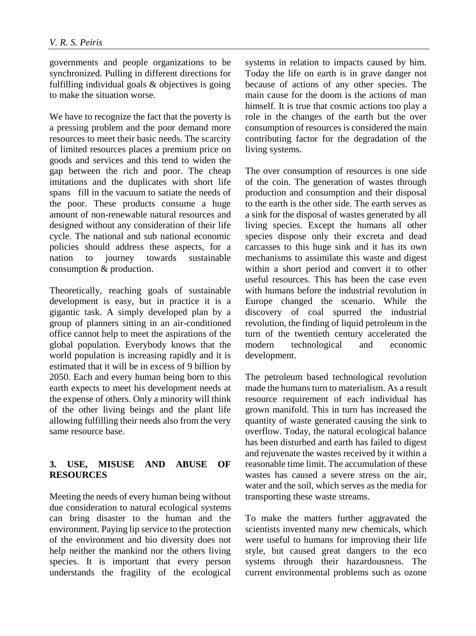governments and people organizations to be synchronized. Pulling in different directions for fulfilling individual goals & objectives is going to make the situation worse.

We have to recognize the fact that the poverty is a pressing problem and the poor demand more resources to meet their basic needs. The scarcity of limited resources places a premium price on goods and services and this tend to widen the gap between the rich and poor. The cheap imitations and the duplicates with short life spans fill in the vacuum to satiate the needs of the poor. These products consume a huge amount of non-renewable natural resources and designed without any consideration of their life cycle. The national and sub national economic policies should address these aspects, for a nation to journey towards sustainable consumption & production.

Theoretically, reaching goals of sustainable development is easy, but in practice it is a gigantic task. A simply developed plan by a group of planners sitting in an air-conditioned office cannot help to meet the aspirations of the global population. Everybody knows that the world population is increasing rapidly and it is estimated that it will be in excess of 9 billion by 2050. Each and every human being born to this earth expects to meet his development needs at the expense of others. Only a minority will think of the other living beings and the plant life allowing fulfilling their needs also from the very same resource base.

### **3. USE, MISUSE AND ABUSE OF RESOURCES**

Meeting the needs of every human being without due consideration to natural ecological systems can bring disaster to the human and the environment. Paying lip service to the protection of the environment and bio diversity does not help neither the mankind nor the others living species. It is important that every person understands the fragility of the ecological systems in relation to impacts caused by him. Today the life on earth is in grave danger not because of actions of any other species. The main cause for the doom is the actions of man himself. It is true that cosmic actions too play a role in the changes of the earth but the over consumption of resources is considered the main contributing factor for the degradation of the living systems.

The over consumption of resources is one side of the coin. The generation of wastes through production and consumption and their disposal to the earth is the other side. The earth serves as a sink for the disposal of wastes generated by all living species. Except the humans all other species dispose only their excreta and dead carcasses to this huge sink and it has its own mechanisms to assimilate this waste and digest within a short period and convert it to other useful resources. This has been the case even with humans before the industrial revolution in Europe changed the scenario. While the discovery of coal spurred the industrial revolution, the finding of liquid petroleum in the turn of the twentieth century accelerated the modern technological and economic development.

The petroleum based technological revolution made the humans turn to materialism. As a result resource requirement of each individual has grown manifold. This in turn has increased the quantity of waste generated causing the sink to overflow. Today, the natural ecological balance has been disturbed and earth has failed to digest and rejuvenate the wastes received by it within a reasonable time limit. The accumulation of these wastes has caused a severe stress on the air, water and the soil, which serves as the media for transporting these waste streams.

To make the matters further aggravated the scientists invented many new chemicals, which were useful to humans for improving their life style, but caused great dangers to the eco systems through their hazardousness. The current environmental problems such as ozone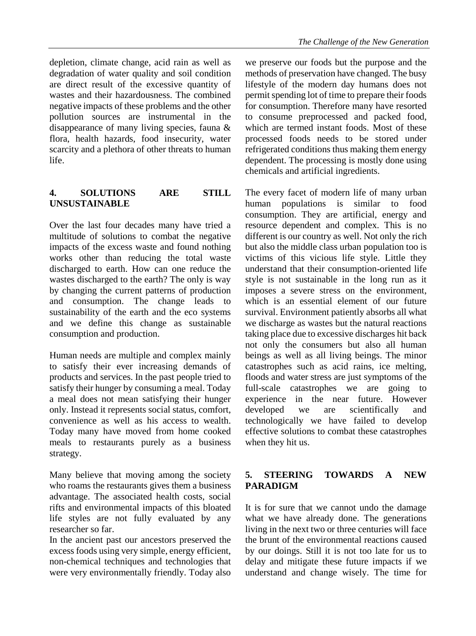degradation of water quality and soil condition are direct result of the excessive quantity of wastes and their hazardousness. The combined negative impacts of these problems and the other pollution sources are instrumental in the disappearance of many living species, fauna & flora, health hazards, food insecurity, water scarcity and a plethora of other threats to human life.

## **4. SOLUTIONS ARE STILL UNSUSTAINABLE**

Over the last four decades many have tried a multitude of solutions to combat the negative impacts of the excess waste and found nothing works other than reducing the total waste discharged to earth. How can one reduce the wastes discharged to the earth? The only is way by changing the current patterns of production and consumption. The change leads to sustainability of the earth and the eco systems and we define this change as sustainable consumption and production.

Human needs are multiple and complex mainly to satisfy their ever increasing demands of products and services. In the past people tried to satisfy their hunger by consuming a meal. Today a meal does not mean satisfying their hunger only. Instead it represents social status, comfort, convenience as well as his access to wealth. Today many have moved from home cooked meals to restaurants purely as a business strategy.

Many believe that moving among the society who roams the restaurants gives them a business advantage. The associated health costs, social rifts and environmental impacts of this bloated life styles are not fully evaluated by any researcher so far.

In the ancient past our ancestors preserved the excess foods using very simple, energy efficient, non-chemical techniques and technologies that were very environmentally friendly. Today also

we preserve our foods but the purpose and the methods of preservation have changed. The busy lifestyle of the modern day humans does not permit spending lot of time to prepare their foods for consumption. Therefore many have resorted to consume preprocessed and packed food, which are termed instant foods. Most of these processed foods needs to be stored under refrigerated conditions thus making them energy dependent. The processing is mostly done using chemicals and artificial ingredients.

The every facet of modern life of many urban human populations is similar to food consumption. They are artificial, energy and resource dependent and complex. This is no different is our country as well. Not only the rich but also the middle class urban population too is victims of this vicious life style. Little they understand that their consumption-oriented life style is not sustainable in the long run as it imposes a severe stress on the environment, which is an essential element of our future survival. Environment patiently absorbs all what we discharge as wastes but the natural reactions taking place due to excessive discharges hit back not only the consumers but also all human beings as well as all living beings. The minor catastrophes such as acid rains, ice melting, floods and water stress are just symptoms of the full-scale catastrophes we are going to experience in the near future. However developed we are scientifically and technologically we have failed to develop effective solutions to combat these catastrophes when they hit us.

# **5. STEERING TOWARDS A NEW PARADIGM**

It is for sure that we cannot undo the damage what we have already done. The generations living in the next two or three centuries will face the brunt of the environmental reactions caused by our doings. Still it is not too late for us to delay and mitigate these future impacts if we understand and change wisely. The time for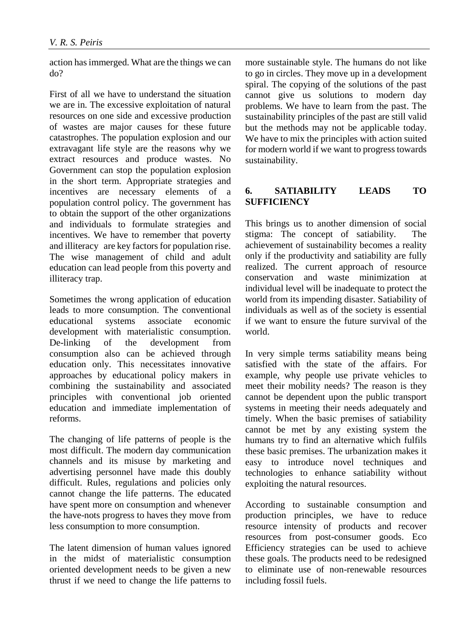action has immerged. What are the things we can do?

First of all we have to understand the situation we are in. The excessive exploitation of natural resources on one side and excessive production of wastes are major causes for these future catastrophes. The population explosion and our extravagant life style are the reasons why we extract resources and produce wastes. No Government can stop the population explosion in the short term. Appropriate strategies and incentives are necessary elements of a population control policy. The government has to obtain the support of the other organizations and individuals to formulate strategies and incentives. We have to remember that poverty and illiteracy are key factors for population rise. The wise management of child and adult education can lead people from this poverty and illiteracy trap.

Sometimes the wrong application of education leads to more consumption. The conventional educational systems associate economic development with materialistic consumption. De-linking of the development from consumption also can be achieved through education only. This necessitates innovative approaches by educational policy makers in combining the sustainability and associated principles with conventional job oriented education and immediate implementation of reforms.

The changing of life patterns of people is the most difficult. The modern day communication channels and its misuse by marketing and advertising personnel have made this doubly difficult. Rules, regulations and policies only cannot change the life patterns. The educated have spent more on consumption and whenever the have-nots progress to haves they move from less consumption to more consumption.

The latent dimension of human values ignored in the midst of materialistic consumption oriented development needs to be given a new thrust if we need to change the life patterns to

more sustainable style. The humans do not like to go in circles. They move up in a development spiral. The copying of the solutions of the past cannot give us solutions to modern day problems. We have to learn from the past. The sustainability principles of the past are still valid but the methods may not be applicable today. We have to mix the principles with action suited for modern world if we want to progress towards sustainability.

## **6. SATIABILITY LEADS TO SUFFICIENCY**

This brings us to another dimension of social stigma: The concept of satiability. The achievement of sustainability becomes a reality only if the productivity and satiability are fully realized. The current approach of resource conservation and waste minimization at individual level will be inadequate to protect the world from its impending disaster. Satiability of individuals as well as of the society is essential if we want to ensure the future survival of the world.

In very simple terms satiability means being satisfied with the state of the affairs. For example, why people use private vehicles to meet their mobility needs? The reason is they cannot be dependent upon the public transport systems in meeting their needs adequately and timely. When the basic premises of satiability cannot be met by any existing system the humans try to find an alternative which fulfils these basic premises. The urbanization makes it easy to introduce novel techniques and technologies to enhance satiability without exploiting the natural resources.

According to sustainable consumption and production principles, we have to reduce resource intensity of products and recover resources from post-consumer goods. Eco Efficiency strategies can be used to achieve these goals. The products need to be redesigned to eliminate use of non-renewable resources including fossil fuels.